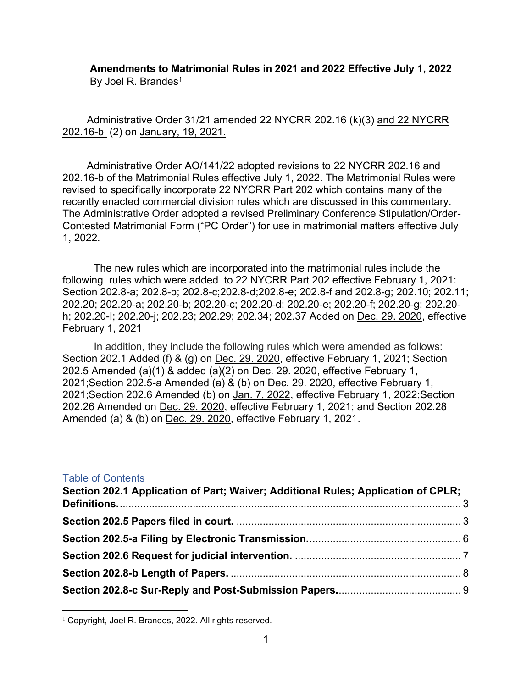### **Amendments to Matrimonial Rules in 2021 and 2022 Effective July 1, 2022** By Joel R. Brandes<sup>1</sup>

Administrative Order 31/21 amended 22 NYCRR 202.16 (k)(3) and 22 NYCRR 202.16-b (2) on [January, 19, 2021.](https://www.nycourts.gov/LegacyPDFS/RULES/trialcourts/AO-31-21.pdf)

Administrative Order AO/141/22 adopted revisions to 22 NYCRR 202.16 and 202.16-b of the Matrimonial Rules effective July 1, 2022. The Matrimonial Rules were revised to specifically incorporate 22 NYCRR Part 202 which contains many of the recently enacted commercial division rules which are discussed in this commentary. The Administrative Order adopted a revised Preliminary Conference Stipulation/Order-Contested Matrimonial Form ("PC Order") for use in matrimonial matters effective July 1, 2022.

The new rules which are incorporated into the matrimonial rules include the following rules which were added to 22 NYCRR Part 202 effective February 1, 2021: Section 202.8-a; 202.8-b; 202.8-c;202.8-d;202.8-e; 202.8-f and 202.8-g; 202.10; 202.11; 202.20; 202.20-a; 202.20-b; 202.20-c; 202.20-d; 202.20-e; 202.20-f; 202.20-g; 202.20 h; 202.20-I; 202.20-j; 202.23; 202.29; 202.34; 202.37 Added on [Dec. 29. 2020,](https://www.nycourts.gov/LegacyPDFS/RULES/trialcourts/AO-270-20.pdf) effective February 1, 2021

In addition, they include the following rules which were amended as follows: Section 202.1 Added (f) & (g) on [Dec. 29. 2020,](https://www.nycourts.gov/LegacyPDFS/RULES/trialcourts/AO-270-20.pdf) effective February 1, 2021; Section 202.5 Amended (a)(1) & added (a)(2) on [Dec. 29. 2020,](https://www.nycourts.gov/LegacyPDFS/RULES/trialcourts/AO-270-20.pdf) effective February 1, 2021;Section 202.5-a Amended (a) & (b) on [Dec. 29. 2020,](https://www.nycourts.gov/LegacyPDFS/RULES/trialcourts/AO-270-20.pdf) effective February 1, 2021;Section 202.6 Amended (b) on [Jan. 7, 2022,](https://www.nycourts.gov/LegacyPDFS/RULES/trialcourts/AO-009-22.pdf) effective February 1, 2022;Section 202.26 Amended on [Dec. 29. 2020,](https://www.nycourts.gov/LegacyPDFS/RULES/trialcourts/AO-270-20.pdf) effective February 1, 2021; and Section 202.28 Amended (a) & (b) on [Dec. 29. 2020,](https://www.nycourts.gov/LegacyPDFS/RULES/trialcourts/AO-270-20.pdf) effective February 1, 2021.

#### Table of Contents

| Section 202.1 Application of Part; Waiver; Additional Rules; Application of CPLR; |  |
|-----------------------------------------------------------------------------------|--|
|                                                                                   |  |
|                                                                                   |  |
|                                                                                   |  |
|                                                                                   |  |
|                                                                                   |  |
|                                                                                   |  |

<sup>&</sup>lt;sup>1</sup> Copyright, Joel R. Brandes, 2022. All rights reserved.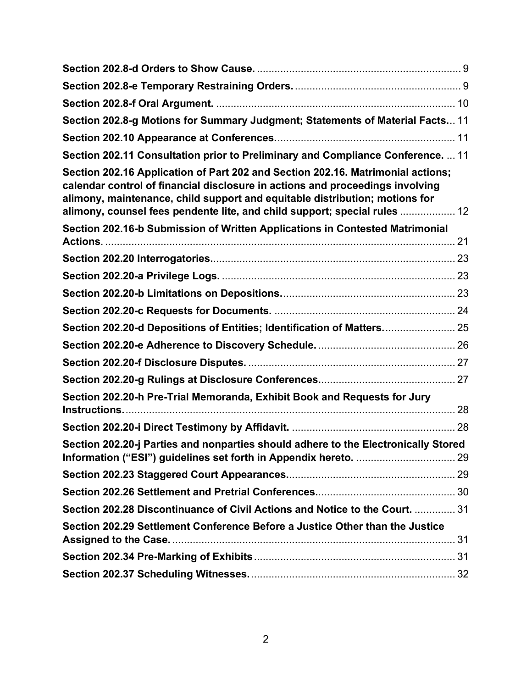| Section 202.8-g Motions for Summary Judgment; Statements of Material Facts 11                                                                                                                                                                                                                                                |  |
|------------------------------------------------------------------------------------------------------------------------------------------------------------------------------------------------------------------------------------------------------------------------------------------------------------------------------|--|
|                                                                                                                                                                                                                                                                                                                              |  |
| Section 202.11 Consultation prior to Preliminary and Compliance Conference.  11                                                                                                                                                                                                                                              |  |
| Section 202.16 Application of Part 202 and Section 202.16. Matrimonial actions;<br>calendar control of financial disclosure in actions and proceedings involving<br>alimony, maintenance, child support and equitable distribution; motions for<br>alimony, counsel fees pendente lite, and child support; special rules  12 |  |
| Section 202.16-b Submission of Written Applications in Contested Matrimonial                                                                                                                                                                                                                                                 |  |
|                                                                                                                                                                                                                                                                                                                              |  |
|                                                                                                                                                                                                                                                                                                                              |  |
|                                                                                                                                                                                                                                                                                                                              |  |
|                                                                                                                                                                                                                                                                                                                              |  |
| Section 202.20-d Depositions of Entities; Identification of Matters 25                                                                                                                                                                                                                                                       |  |
|                                                                                                                                                                                                                                                                                                                              |  |
|                                                                                                                                                                                                                                                                                                                              |  |
|                                                                                                                                                                                                                                                                                                                              |  |
| Section 202.20-h Pre-Trial Memoranda, Exhibit Book and Requests for Jury                                                                                                                                                                                                                                                     |  |
|                                                                                                                                                                                                                                                                                                                              |  |
| Section 202.20-j Parties and nonparties should adhere to the Electronically Stored                                                                                                                                                                                                                                           |  |
|                                                                                                                                                                                                                                                                                                                              |  |
|                                                                                                                                                                                                                                                                                                                              |  |
| Section 202.28 Discontinuance of Civil Actions and Notice to the Court.  31                                                                                                                                                                                                                                                  |  |
| Section 202.29 Settlement Conference Before a Justice Other than the Justice                                                                                                                                                                                                                                                 |  |
|                                                                                                                                                                                                                                                                                                                              |  |
|                                                                                                                                                                                                                                                                                                                              |  |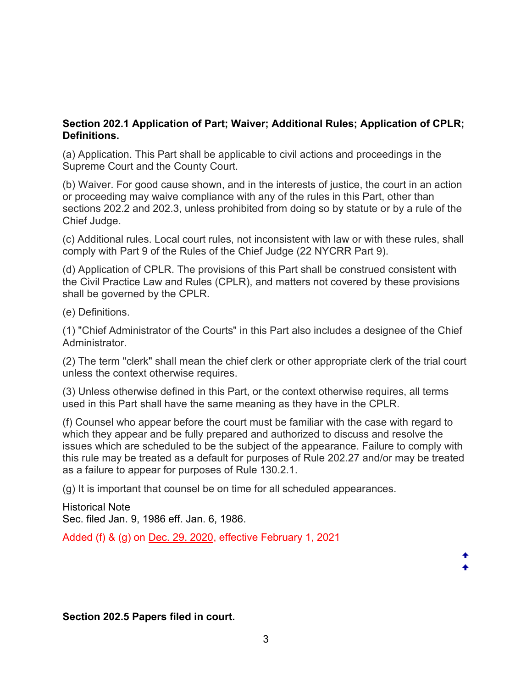## <span id="page-2-0"></span>**Section 202.1 Application of Part; Waiver; Additional Rules; Application of CPLR; Definitions.**

(a) Application. This Part shall be applicable to civil actions and proceedings in the Supreme Court and the County Court.

(b) Waiver. For good cause shown, and in the interests of justice, the court in an action or proceeding may waive compliance with any of the rules in this Part, other than sections 202.2 and 202.3, unless prohibited from doing so by statute or by a rule of the Chief Judge.

(c) Additional rules. Local court rules, not inconsistent with law or with these rules, shall comply with Part 9 of the Rules of the Chief Judge (22 NYCRR Part 9).

(d) Application of CPLR. The provisions of this Part shall be construed consistent with the Civil Practice Law and Rules (CPLR), and matters not covered by these provisions shall be governed by the CPLR.

(e) Definitions.

(1) "Chief Administrator of the Courts" in this Part also includes a designee of the Chief Administrator.

(2) The term "clerk" shall mean the chief clerk or other appropriate clerk of the trial court unless the context otherwise requires.

(3) Unless otherwise defined in this Part, or the context otherwise requires, all terms used in this Part shall have the same meaning as they have in the CPLR.

(f) Counsel who appear before the court must be familiar with the case with regard to which they appear and be fully prepared and authorized to discuss and resolve the issues which are scheduled to be the subject of the appearance. Failure to comply with this rule may be treated as a default for purposes of Rule 202.27 and/or may be treated as a failure to appear for purposes of Rule 130.2.1.

(g) It is important that counsel be on time for all scheduled appearances.

Historical Note Sec. filed Jan. 9, 1986 eff. Jan. 6, 1986.

Added (f) & (g) on [Dec. 29. 2020,](https://www.nycourts.gov/LegacyPDFS/RULES/trialcourts/AO-270-20.pdf) effective February 1, 2021

<span id="page-2-1"></span>**Section 202.5 Papers filed in court.**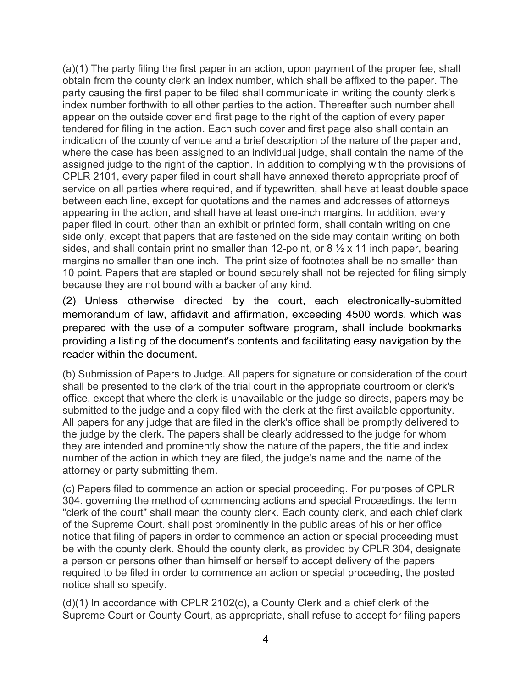(a)(1) The party filing the first paper in an action, upon payment of the proper fee, shall obtain from the county clerk an index number, which shall be affixed to the paper. The party causing the first paper to be filed shall communicate in writing the county clerk's index number forthwith to all other parties to the action. Thereafter such number shall appear on the outside cover and first page to the right of the caption of every paper tendered for filing in the action. Each such cover and first page also shall contain an indication of the county of venue and a brief description of the nature of the paper and, where the case has been assigned to an individual judge, shall contain the name of the assigned judge to the right of the caption. In addition to complying with the provisions of CPLR 2101, every paper filed in court shall have annexed thereto appropriate proof of service on all parties where required, and if typewritten, shall have at least double space between each line, except for quotations and the names and addresses of attorneys appearing in the action, and shall have at least one-inch margins. In addition, every paper filed in court, other than an exhibit or printed form, shall contain writing on one side only, except that papers that are fastened on the side may contain writing on both sides, and shall contain print no smaller than 12-point, or 8  $\frac{1}{2}$  x 11 inch paper, bearing margins no smaller than one inch. The print size of footnotes shall be no smaller than 10 point. Papers that are stapled or bound securely shall not be rejected for filing simply because they are not bound with a backer of any kind.

(2) Unless otherwise directed by the court, each electronically-submitted memorandum of law, affidavit and affirmation, exceeding 4500 words, which was prepared with the use of a computer software program, shall include bookmarks providing a listing of the document's contents and facilitating easy navigation by the reader within the document.

(b) Submission of Papers to Judge. All papers for signature or consideration of the court shall be presented to the clerk of the trial court in the appropriate courtroom or clerk's office, except that where the clerk is unavailable or the judge so directs, papers may be submitted to the judge and a copy filed with the clerk at the first available opportunity. All papers for any judge that are filed in the clerk's office shall be promptly delivered to the judge by the clerk. The papers shall be clearly addressed to the judge for whom they are intended and prominently show the nature of the papers, the title and index number of the action in which they are filed, the judge's name and the name of the attorney or party submitting them.

(c) Papers filed to commence an action or special proceeding. For purposes of CPLR 304. governing the method of commencing actions and special Proceedings. the term "clerk of the court" shall mean the county clerk. Each county clerk, and each chief clerk of the Supreme Court. shall post prominently in the public areas of his or her office notice that filing of papers in order to commence an action or special proceeding must be with the county clerk. Should the county clerk, as provided by CPLR 304, designate a person or persons other than himself or herself to accept delivery of the papers required to be filed in order to commence an action or special proceeding, the posted notice shall so specify.

(d)(1) In accordance with CPLR 2102(c), a County Clerk and a chief clerk of the Supreme Court or County Court, as appropriate, shall refuse to accept for filing papers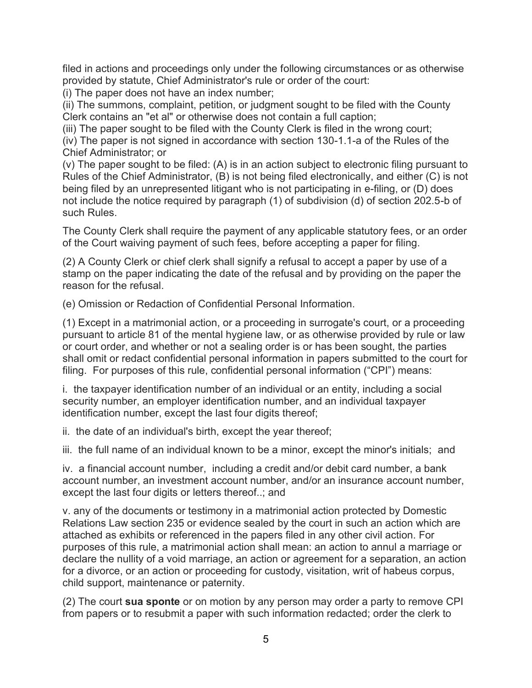filed in actions and proceedings only under the following circumstances or as otherwise provided by statute, Chief Administrator's rule or order of the court:

(i) The paper does not have an index number;

(ii) The summons, complaint, petition, or judgment sought to be filed with the County Clerk contains an "et al" or otherwise does not contain a full caption;

(iii) The paper sought to be filed with the County Clerk is filed in the wrong court; (iv) The paper is not signed in accordance with section 130-1.1-a of the Rules of the

Chief Administrator; or

(v) The paper sought to be filed: (A) is in an action subject to electronic filing pursuant to Rules of the Chief Administrator, (B) is not being filed electronically, and either (C) is not being filed by an unrepresented litigant who is not participating in e-filing, or (D) does not include the notice required by paragraph (1) of subdivision (d) of section 202.5-b of such Rules.

The County Clerk shall require the payment of any applicable statutory fees, or an order of the Court waiving payment of such fees, before accepting a paper for filing.

(2) A County Clerk or chief clerk shall signify a refusal to accept a paper by use of a stamp on the paper indicating the date of the refusal and by providing on the paper the reason for the refusal.

(e) Omission or Redaction of Confidential Personal Information.

(1) Except in a matrimonial action, or a proceeding in surrogate's court, or a proceeding pursuant to article 81 of the mental hygiene law, or as otherwise provided by rule or law or court order, and whether or not a sealing order is or has been sought, the parties shall omit or redact confidential personal information in papers submitted to the court for filing. For purposes of this rule, confidential personal information ("CPI") means:

i. the taxpayer identification number of an individual or an entity, including a social security number, an employer identification number, and an individual taxpayer identification number, except the last four digits thereof;

ii. the date of an individual's birth, except the year thereof;

iii. the full name of an individual known to be a minor, except the minor's initials; and

iv. a financial account number, including a credit and/or debit card number, a bank account number, an investment account number, and/or an insurance account number, except the last four digits or letters thereof..; and

v. any of the documents or testimony in a matrimonial action protected by Domestic Relations Law section 235 or evidence sealed by the court in such an action which are attached as exhibits or referenced in the papers filed in any other civil action. For purposes of this rule, a matrimonial action shall mean: an action to annul a marriage or declare the nullity of a void marriage, an action or agreement for a separation, an action for a divorce, or an action or proceeding for custody, visitation, writ of habeus corpus, child support, maintenance or paternity.

(2) The court **sua sponte** or on motion by any person may order a party to remove CPI from papers or to resubmit a paper with such information redacted; order the clerk to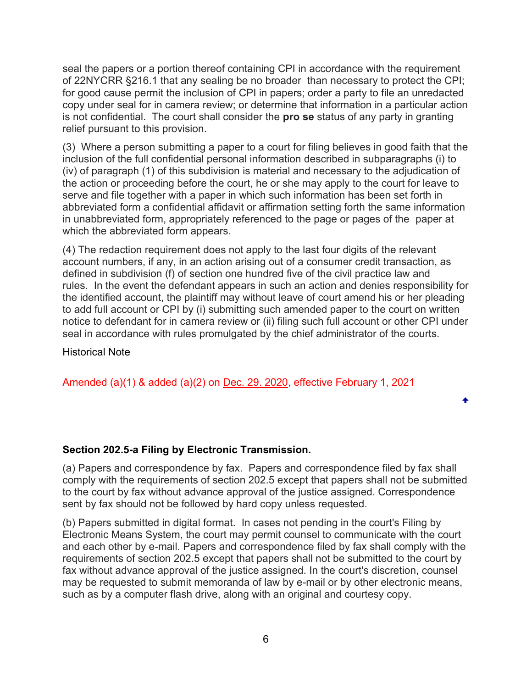seal the papers or a portion thereof containing CPI in accordance with the requirement of 22NYCRR §216.1 that any sealing be no broader than necessary to protect the CPI; for good cause permit the inclusion of CPI in papers; order a party to file an unredacted copy under seal for in camera review; or determine that information in a particular action is not confidential. The court shall consider the **pro se** status of any party in granting relief pursuant to this provision.

(3) Where a person submitting a paper to a court for filing believes in good faith that the inclusion of the full confidential personal information described in subparagraphs (i) to (iv) of paragraph (1) of this subdivision is material and necessary to the adjudication of the action or proceeding before the court, he or she may apply to the court for leave to serve and file together with a paper in which such information has been set forth in abbreviated form a confidential affidavit or affirmation setting forth the same information in unabbreviated form, appropriately referenced to the page or pages of the paper at which the abbreviated form appears.

(4) The redaction requirement does not apply to the last four digits of the relevant account numbers, if any, in an action arising out of a consumer credit transaction, as defined in subdivision (f) of section one hundred five of the civil practice law and rules. In the event the defendant appears in such an action and denies responsibility for the identified account, the plaintiff may without leave of court amend his or her pleading to add full account or CPI by (i) submitting such amended paper to the court on written notice to defendant for in camera review or (ii) filing such full account or other CPI under seal in accordance with rules promulgated by the chief administrator of the courts.

#### Historical Note

Amended (a)(1) & added (a)(2) on [Dec. 29. 2020,](https://www.nycourts.gov/LegacyPDFS/RULES/trialcourts/AO-270-20.pdf) effective February 1, 2021

### <span id="page-5-0"></span>**Section 202.5-a Filing by Electronic Transmission.**

(a) Papers and correspondence by fax. Papers and correspondence filed by fax shall comply with the requirements of section 202.5 except that papers shall not be submitted to the court by fax without advance approval of the justice assigned. Correspondence sent by fax should not be followed by hard copy unless requested.

(b) Papers submitted in digital format. In cases not pending in the court's Filing by Electronic Means System, the court may permit counsel to communicate with the court and each other by e-mail. Papers and correspondence filed by fax shall comply with the requirements of section 202.5 except that papers shall not be submitted to the court by fax without advance approval of the justice assigned. In the court's discretion, counsel may be requested to submit memoranda of law by e-mail or by other electronic means, such as by a computer flash drive, along with an original and courtesy copy.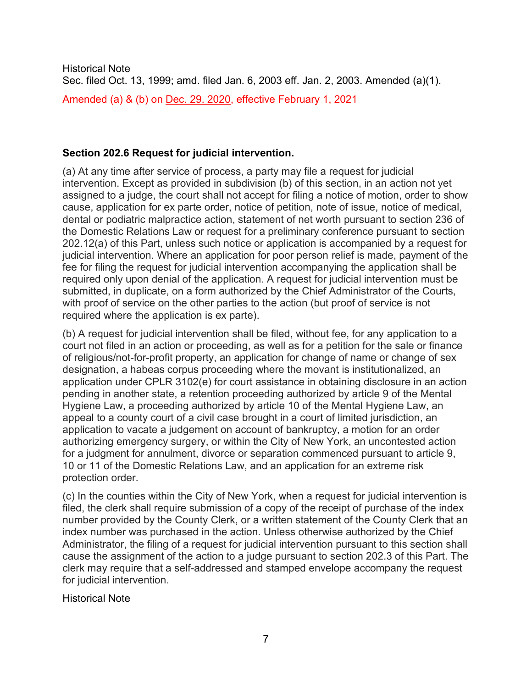Historical Note Sec. filed Oct. 13, 1999; amd. filed Jan. 6, 2003 eff. Jan. 2, 2003. Amended (a)(1). Amended (a) & (b) on [Dec. 29. 2020,](https://www.nycourts.gov/LegacyPDFS/RULES/trialcourts/AO-270-20.pdf) effective February 1, 2021

#### <span id="page-6-0"></span>**Section 202.6 Request for judicial intervention.**

(a) At any time after service of process, a party may file a request for judicial intervention. Except as provided in subdivision (b) of this section, in an action not yet assigned to a judge, the court shall not accept for filing a notice of motion, order to show cause, application for ex parte order, notice of petition, note of issue, notice of medical, dental or podiatric malpractice action, statement of net worth pursuant to section 236 of the Domestic Relations Law or request for a preliminary conference pursuant to section 202.12(a) of this Part, unless such notice or application is accompanied by a request for judicial intervention. Where an application for poor person relief is made, payment of the fee for filing the request for judicial intervention accompanying the application shall be required only upon denial of the application. A request for judicial intervention must be submitted, in duplicate, on a form authorized by the Chief Administrator of the Courts, with proof of service on the other parties to the action (but proof of service is not required where the application is ex parte).

(b) A request for judicial intervention shall be filed, without fee, for any application to a court not filed in an action or proceeding, as well as for a petition for the sale or finance of religious/not-for-profit property, an application for change of name or change of sex designation, a habeas corpus proceeding where the movant is institutionalized, an application under CPLR 3102(e) for court assistance in obtaining disclosure in an action pending in another state, a retention proceeding authorized by article 9 of the Mental Hygiene Law, a proceeding authorized by article 10 of the Mental Hygiene Law, an appeal to a county court of a civil case brought in a court of limited jurisdiction, an application to vacate a judgement on account of bankruptcy, a motion for an order authorizing emergency surgery, or within the City of New York, an uncontested action for a judgment for annulment, divorce or separation commenced pursuant to article 9, 10 or 11 of the Domestic Relations Law, and an application for an extreme risk protection order.

(c) In the counties within the City of New York, when a request for judicial intervention is filed, the clerk shall require submission of a copy of the receipt of purchase of the index number provided by the County Clerk, or a written statement of the County Clerk that an index number was purchased in the action. Unless otherwise authorized by the Chief Administrator, the filing of a request for judicial intervention pursuant to this section shall cause the assignment of the action to a judge pursuant to section 202.3 of this Part. The clerk may require that a self-addressed and stamped envelope accompany the request for judicial intervention.

Historical Note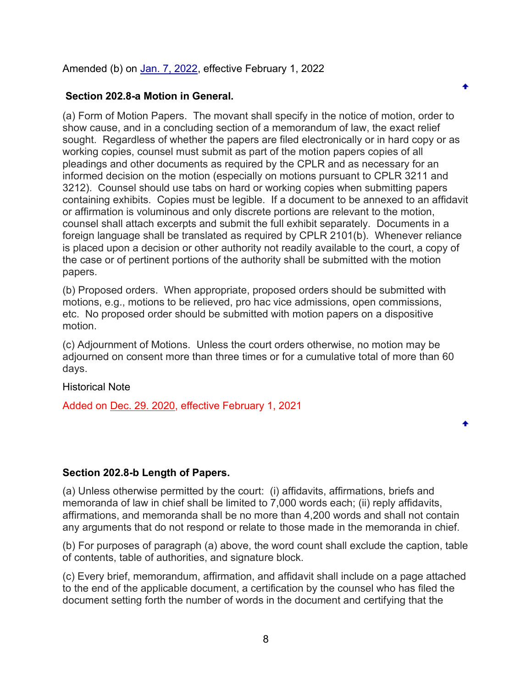Amended (b) on [Jan. 7, 2022,](https://www.nycourts.gov/LegacyPDFS/RULES/trialcourts/AO-009-22.pdf) effective February 1, 2022

#### **Section 202.8-a Motion in General.**

(a) Form of Motion Papers. The movant shall specify in the notice of motion, order to show cause, and in a concluding section of a memorandum of law, the exact relief sought. Regardless of whether the papers are filed electronically or in hard copy or as working copies, counsel must submit as part of the motion papers copies of all pleadings and other documents as required by the CPLR and as necessary for an informed decision on the motion (especially on motions pursuant to CPLR 3211 and 3212). Counsel should use tabs on hard or working copies when submitting papers containing exhibits. Copies must be legible. If a document to be annexed to an affidavit or affirmation is voluminous and only discrete portions are relevant to the motion, counsel shall attach excerpts and submit the full exhibit separately. Documents in a foreign language shall be translated as required by CPLR 2101(b). Whenever reliance is placed upon a decision or other authority not readily available to the court, a copy of the case or of pertinent portions of the authority shall be submitted with the motion papers.

۰

(b) Proposed orders. When appropriate, proposed orders should be submitted with motions, e.g., motions to be relieved, pro hac vice admissions, open commissions, etc. No proposed order should be submitted with motion papers on a dispositive motion.

(c) Adjournment of Motions. Unless the court orders otherwise, no motion may be adjourned on consent more than three times or for a cumulative total of more than 60 days.

Historical Note

Added on [Dec. 29. 2020,](https://www.nycourts.gov/LegacyPDFS/RULES/trialcourts/AO-270-20.pdf) effective February 1, 2021

#### <span id="page-7-0"></span>**Section 202.8-b Length of Papers.**

(a) Unless otherwise permitted by the court: (i) affidavits, affirmations, briefs and memoranda of law in chief shall be limited to 7,000 words each; (ii) reply affidavits, affirmations, and memoranda shall be no more than 4,200 words and shall not contain any arguments that do not respond or relate to those made in the memoranda in chief.

(b) For purposes of paragraph (a) above, the word count shall exclude the caption, table of contents, table of authorities, and signature block.

(c) Every brief, memorandum, affirmation, and affidavit shall include on a page attached to the end of the applicable document, a certification by the counsel who has filed the document setting forth the number of words in the document and certifying that the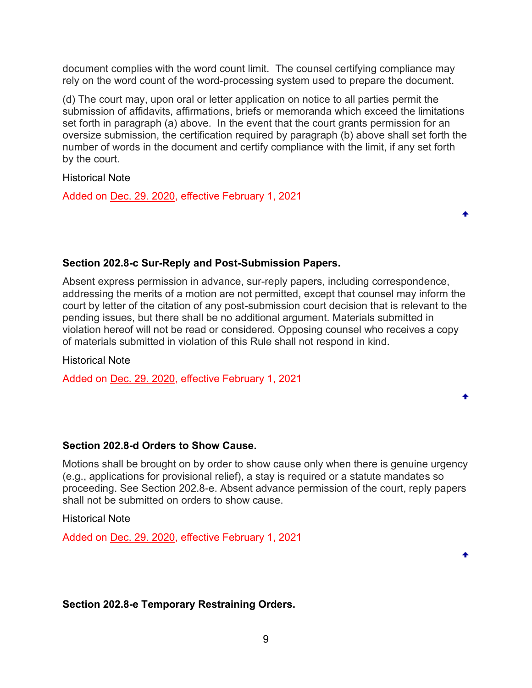document complies with the word count limit. The counsel certifying compliance may rely on the word count of the word-processing system used to prepare the document.

(d) The court may, upon oral or letter application on notice to all parties permit the submission of affidavits, affirmations, briefs or memoranda which exceed the limitations set forth in paragraph (a) above. In the event that the court grants permission for an oversize submission, the certification required by paragraph (b) above shall set forth the number of words in the document and certify compliance with the limit, if any set forth by the court.

Historical Note

Added on [Dec. 29. 2020,](https://www.nycourts.gov/LegacyPDFS/RULES/trialcourts/AO-270-20.pdf) effective February 1, 2021

### <span id="page-8-0"></span>**Section 202.8-c Sur-Reply and Post-Submission Papers.**

Absent express permission in advance, sur-reply papers, including correspondence, addressing the merits of a motion are not permitted, except that counsel may inform the court by letter of the citation of any post-submission court decision that is relevant to the pending issues, but there shall be no additional argument. Materials submitted in violation hereof will not be read or considered. Opposing counsel who receives a copy of materials submitted in violation of this Rule shall not respond in kind.

Historical Note

Added on [Dec. 29. 2020,](https://www.nycourts.gov/LegacyPDFS/RULES/trialcourts/AO-270-20.pdf) effective February 1, 2021

### <span id="page-8-1"></span>**Section 202.8-d Orders to Show Cause.**

Motions shall be brought on by order to show cause only when there is genuine urgency (e.g., applications for provisional relief), a stay is required or a statute mandates so proceeding. See Section 202.8-e. Absent advance permission of the court, reply papers shall not be submitted on orders to show cause.

Historical Note

Added on [Dec. 29. 2020,](https://www.nycourts.gov/LegacyPDFS/RULES/trialcourts/AO-270-20.pdf) effective February 1, 2021

<span id="page-8-2"></span>**Section 202.8-e Temporary Restraining Orders.**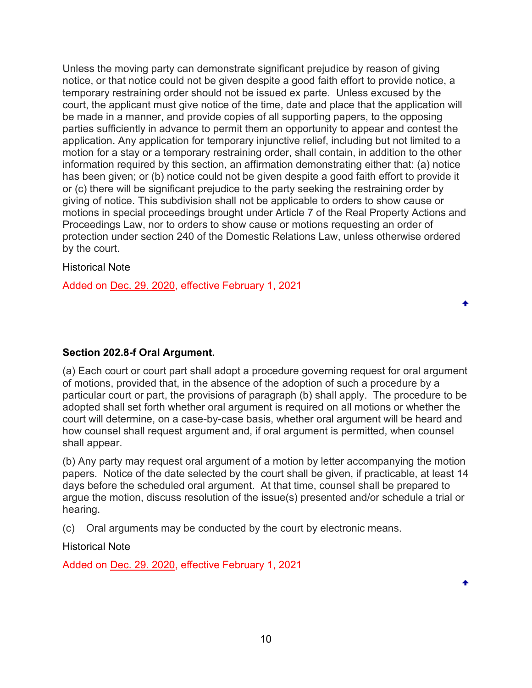Unless the moving party can demonstrate significant prejudice by reason of giving notice, or that notice could not be given despite a good faith effort to provide notice, a temporary restraining order should not be issued ex parte. Unless excused by the court, the applicant must give notice of the time, date and place that the application will be made in a manner, and provide copies of all supporting papers, to the opposing parties sufficiently in advance to permit them an opportunity to appear and contest the application. Any application for temporary injunctive relief, including but not limited to a motion for a stay or a temporary restraining order, shall contain, in addition to the other information required by this section, an affirmation demonstrating either that: (a) notice has been given; or (b) notice could not be given despite a good faith effort to provide it or (c) there will be significant prejudice to the party seeking the restraining order by giving of notice. This subdivision shall not be applicable to orders to show cause or motions in special proceedings brought under Article 7 of the Real Property Actions and Proceedings Law, nor to orders to show cause or motions requesting an order of protection under section 240 of the Domestic Relations Law, unless otherwise ordered by the court.

### Historical Note

Added on [Dec. 29. 2020,](https://www.nycourts.gov/LegacyPDFS/RULES/trialcourts/AO-270-20.pdf) effective February 1, 2021

# <span id="page-9-0"></span>**Section 202.8-f Oral Argument.**

(a) Each court or court part shall adopt a procedure governing request for oral argument of motions, provided that, in the absence of the adoption of such a procedure by a particular court or part, the provisions of paragraph (b) shall apply. The procedure to be adopted shall set forth whether oral argument is required on all motions or whether the court will determine, on a case-by-case basis, whether oral argument will be heard and how counsel shall request argument and, if oral argument is permitted, when counsel shall appear.

٠

٠

(b) Any party may request oral argument of a motion by letter accompanying the motion papers. Notice of the date selected by the court shall be given, if practicable, at least 14 days before the scheduled oral argument. At that time, counsel shall be prepared to argue the motion, discuss resolution of the issue(s) presented and/or schedule a trial or hearing.

(c) Oral arguments may be conducted by the court by electronic means.

Historical Note

Added on [Dec. 29. 2020,](https://www.nycourts.gov/LegacyPDFS/RULES/trialcourts/AO-270-20.pdf) effective February 1, 2021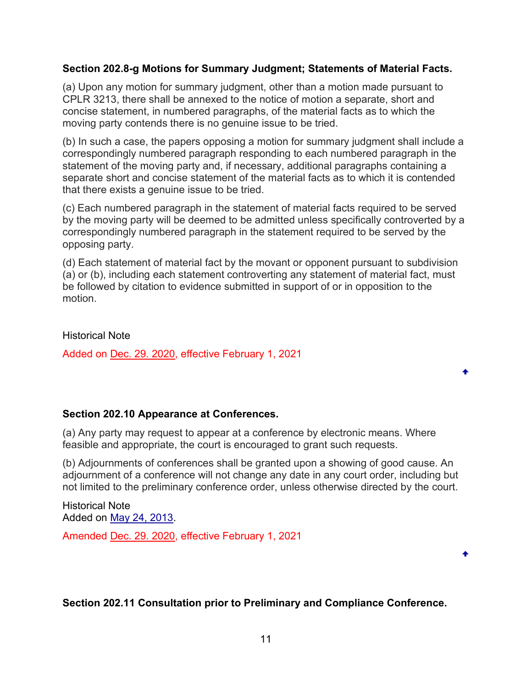### <span id="page-10-0"></span>**Section 202.8-g Motions for Summary Judgment; Statements of Material Facts.**

(a) Upon any motion for summary judgment, other than a motion made pursuant to CPLR 3213, there shall be annexed to the notice of motion a separate, short and concise statement, in numbered paragraphs, of the material facts as to which the moving party contends there is no genuine issue to be tried.

(b) In such a case, the papers opposing a motion for summary judgment shall include a correspondingly numbered paragraph responding to each numbered paragraph in the statement of the moving party and, if necessary, additional paragraphs containing a separate short and concise statement of the material facts as to which it is contended that there exists a genuine issue to be tried.

(c) Each numbered paragraph in the statement of material facts required to be served by the moving party will be deemed to be admitted unless specifically controverted by a correspondingly numbered paragraph in the statement required to be served by the opposing party.

(d) Each statement of material fact by the movant or opponent pursuant to subdivision (a) or (b), including each statement controverting any statement of material fact, must be followed by citation to evidence submitted in support of or in opposition to the motion.

Historical Note

Added on [Dec. 29. 2020,](https://www.nycourts.gov/LegacyPDFS/RULES/trialcourts/AO-270-20.pdf) effective February 1, 2021

### <span id="page-10-1"></span>**Section 202.10 Appearance at Conferences.**

(a) Any party may request to appear at a conference by electronic means. Where feasible and appropriate, the court is encouraged to grant such requests.

(b) Adjournments of conferences shall be granted upon a showing of good cause. An adjournment of a conference will not change any date in any court order, including but not limited to the preliminary conference order, unless otherwise directed by the court.

Historical Note Added on [May 24, 2013.](https://www.nycourts.gov/LegacyPDFS/RULES/trialcourts/202-10_amend.pdf)

Amended [Dec. 29. 2020,](https://www.nycourts.gov/LegacyPDFS/RULES/trialcourts/AO-270-20.pdf) effective February 1, 2021

### <span id="page-10-2"></span>**Section 202.11 Consultation prior to Preliminary and Compliance Conference.**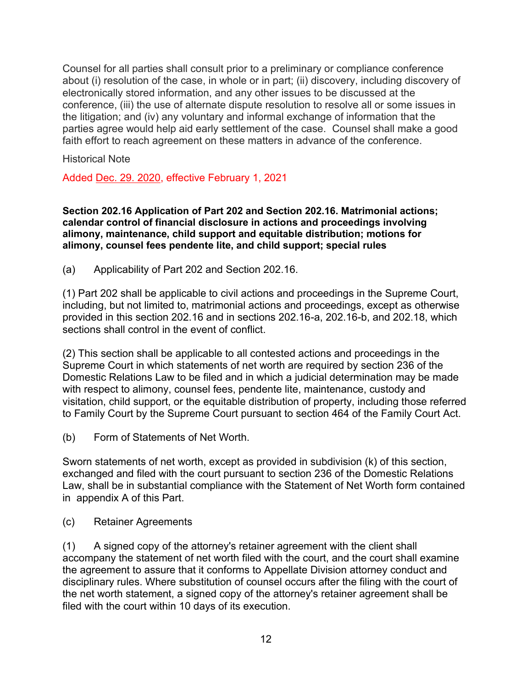Counsel for all parties shall consult prior to a preliminary or compliance conference about (i) resolution of the case, in whole or in part; (ii) discovery, including discovery of electronically stored information, and any other issues to be discussed at the conference, (iii) the use of alternate dispute resolution to resolve all or some issues in the litigation; and (iv) any voluntary and informal exchange of information that the parties agree would help aid early settlement of the case. Counsel shall make a good faith effort to reach agreement on these matters in advance of the conference.

Historical Note

Added [Dec. 29. 2020,](https://www.nycourts.gov/LegacyPDFS/RULES/trialcourts/AO-270-20.pdf) effective February 1, 2021

<span id="page-11-0"></span>**Section 202.16 Application of Part 202 and Section 202.16. Matrimonial actions; calendar control of financial disclosure in actions and proceedings involving alimony, maintenance, child support and equitable distribution; motions for alimony, counsel fees pendente lite, and child support; special rules**

(a) Applicability of Part 202 and Section 202.16.

(1) Part 202 shall be applicable to civil actions and proceedings in the Supreme Court, including, but not limited to, matrimonial actions and proceedings, except as otherwise provided in this section 202.16 and in sections 202.16-a, 202.16-b, and 202.18, which sections shall control in the event of conflict.

(2) This section shall be applicable to all contested actions and proceedings in the Supreme Court in which statements of net worth are required by section 236 of the Domestic Relations Law to be filed and in which a judicial determination may be made with respect to alimony, counsel fees, pendente lite, maintenance, custody and visitation, child support, or the equitable distribution of property, including those referred to Family Court by the Supreme Court pursuant to section 464 of the Family Court Act.

(b) Form of Statements of Net Worth.

Sworn statements of net worth, except as provided in subdivision (k) of this section, exchanged and filed with the court pursuant to section 236 of the Domestic Relations Law, shall be in substantial compliance with the Statement of Net Worth form contained in appendix A of this Part.

(c) Retainer Agreements

(1) A signed copy of the attorney's retainer agreement with the client shall accompany the statement of net worth filed with the court, and the court shall examine the agreement to assure that it conforms to Appellate Division attorney conduct and disciplinary rules. Where substitution of counsel occurs after the filing with the court of the net worth statement, a signed copy of the attorney's retainer agreement shall be filed with the court within 10 days of its execution.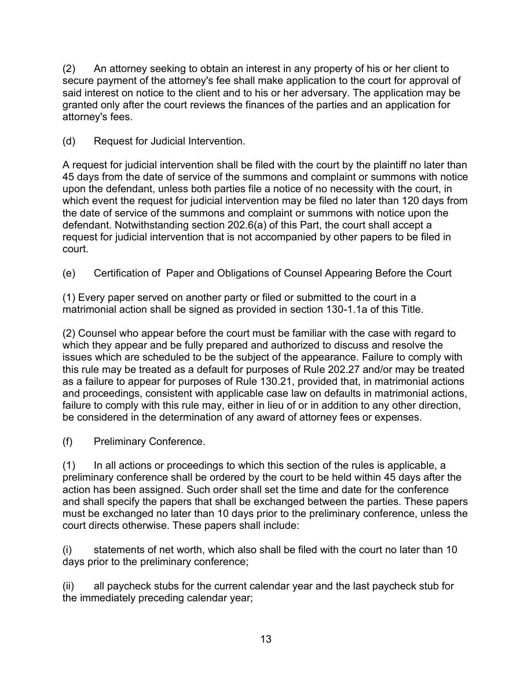(2) An attorney seeking to obtain an interest in any property of his or her client to secure payment of the attorney's fee shall make application to the court for approval of said interest on notice to the client and to his or her adversary. The application may be granted only after the court reviews the finances of the parties and an application for attorney's fees.

(d) Request for Judicial Intervention.

A request for judicial intervention shall be filed with the court by the plaintiff no later than 45 days from the date of service of the summons and complaint or summons with notice upon the defendant, unless both parties file a notice of no necessity with the court, in which event the request for judicial intervention may be filed no later than 120 days from the date of service of the summons and complaint or summons with notice upon the defendant. Notwithstanding section 202.6(a) of this Part, the court shall accept a request for judicial intervention that is not accompanied by other papers to be filed in court.

(e) Certification of Paper and Obligations of Counsel Appearing Before the Court

(1) Every paper served on another party or filed or submitted to the court in a matrimonial action shall be signed as provided in section 130-1.1a of this Title.

(2) Counsel who appear before the court must be familiar with the case with regard to which they appear and be fully prepared and authorized to discuss and resolve the issues which are scheduled to be the subject of the appearance. Failure to comply with this rule may be treated as a default for purposes of Rule 202.27 and/or may be treated as a failure to appear for purposes of Rule 130.21, provided that, in matrimonial actions and proceedings, consistent with applicable case law on defaults in matrimonial actions, failure to comply with this rule may, either in lieu of or in addition to any other direction, be considered in the determination of any award of attorney fees or expenses.

(f) Preliminary Conference.

(1) In all actions or proceedings to which this section of the rules is applicable, a preliminary conference shall be ordered by the court to be held within 45 days after the action has been assigned. Such order shall set the time and date for the conference and shall specify the papers that shall be exchanged between the parties. These papers must be exchanged no later than 10 days prior to the preliminary conference, unless the court directs otherwise. These papers shall include:

(i) statements of net worth, which also shall be filed with the court no later than 10 days prior to the preliminary conference;

(ii) all paycheck stubs for the current calendar year and the last paycheck stub for the immediately preceding calendar year;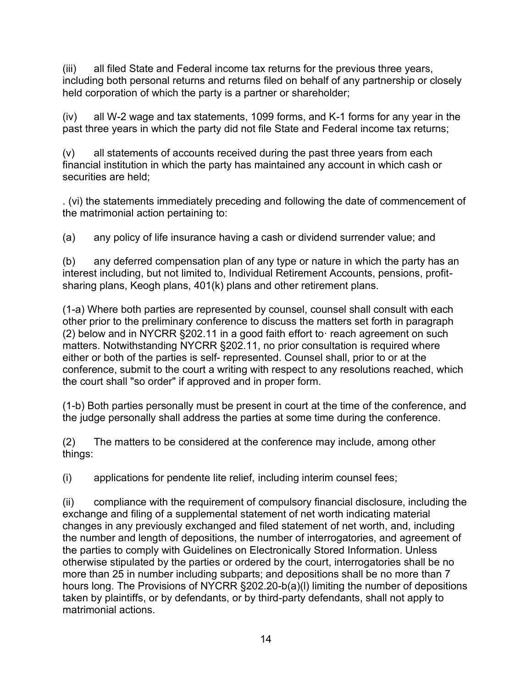(iii) all filed State and Federal income tax returns for the previous three years, including both personal returns and returns filed on behalf of any partnership or closely held corporation of which the party is a partner or shareholder;

(iv) all W-2 wage and tax statements, 1099 forms, and K-1 forms for any year in the past three years in which the party did not file State and Federal income tax returns;

(v) all statements of accounts received during the past three years from each financial institution in which the party has maintained any account in which cash or securities are held;

. (vi) the statements immediately preceding and following the date of commencement of the matrimonial action pertaining to:

(a) any policy of life insurance having a cash or dividend surrender value; and

(b) any deferred compensation plan of any type or nature in which the party has an interest including, but not limited to, Individual Retirement Accounts, pensions, profitsharing plans, Keogh plans, 401(k) plans and other retirement plans.

(1-a) Where both parties are represented by counsel, counsel shall consult with each other prior to the preliminary conference to discuss the matters set forth in paragraph (2) below and in NYCRR §202.11 in a good faith effort to· reach agreement on such matters. Notwithstanding NYCRR §202.11, no prior consultation is required where either or both of the parties is self- represented. Counsel shall, prior to or at the conference, submit to the court a writing with respect to any resolutions reached, which the court shall "so order" if approved and in proper form.

(1-b) Both parties personally must be present in court at the time of the conference, and the judge personally shall address the parties at some time during the conference.

(2) The matters to be considered at the conference may include, among other things:

(i) applications for pendente lite relief, including interim counsel fees;

(ii) compliance with the requirement of compulsory financial disclosure, including the exchange and filing of a supplemental statement of net worth indicating material changes in any previously exchanged and filed statement of net worth, and, including the number and length of depositions, the number of interrogatories, and agreement of the parties to comply with Guidelines on Electronically Stored Information. Unless otherwise stipulated by the parties or ordered by the court, interrogatories shall be no more than 25 in number including subparts; and depositions shall be no more than 7 hours long. The Provisions of NYCRR §202.20-b(a)(l) limiting the number of depositions taken by plaintiffs, or by defendants, or by third-party defendants, shall not apply to matrimonial actions.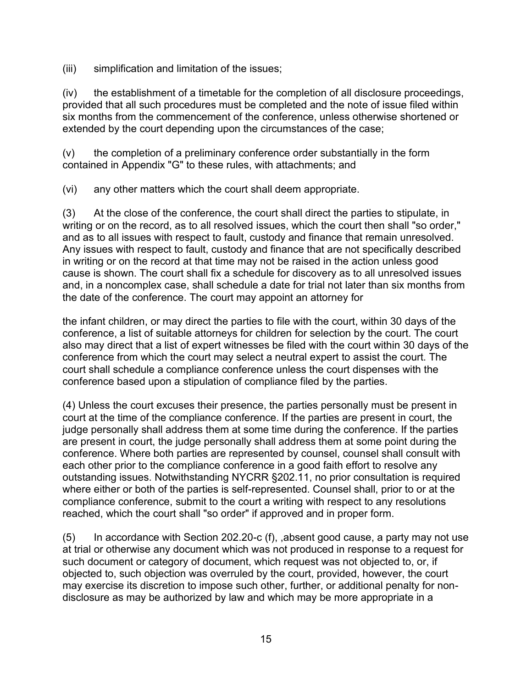(iii) simplification and limitation of the issues;

(iv) the establishment of a timetable for the completion of all disclosure proceedings, provided that all such procedures must be completed and the note of issue filed within six months from the commencement of the conference, unless otherwise shortened or extended by the court depending upon the circumstances of the case;

(v) the completion of a preliminary conference order substantially in the form contained in Appendix "G" to these rules, with attachments; and

(vi) any other matters which the court shall deem appropriate.

(3) At the close of the conference, the court shall direct the parties to stipulate, in writing or on the record, as to all resolved issues, which the court then shall "so order," and as to all issues with respect to fault, custody and finance that remain unresolved. Any issues with respect to fault, custody and finance that are not specifically described in writing or on the record at that time may not be raised in the action unless good cause is shown. The court shall fix a schedule for discovery as to all unresolved issues and, in a noncomplex case, shall schedule a date for trial not later than six months from the date of the conference. The court may appoint an attorney for

the infant children, or may direct the parties to file with the court, within 30 days of the conference, a list of suitable attorneys for children for selection by the court. The court also may direct that a list of expert witnesses be filed with the court within 30 days of the conference from which the court may select a neutral expert to assist the court. The court shall schedule a compliance conference unless the court dispenses with the conference based upon a stipulation of compliance filed by the parties.

(4) Unless the court excuses their presence, the parties personally must be present in court at the time of the compliance conference. If the parties are present in court, the judge personally shall address them at some time during the conference. If the parties are present in court, the judge personally shall address them at some point during the conference. Where both parties are represented by counsel, counsel shall consult with each other prior to the compliance conference in a good faith effort to resolve any outstanding issues. Notwithstanding NYCRR §202.11, no prior consultation is required where either or both of the parties is self-represented. Counsel shall, prior to or at the compliance conference, submit to the court a writing with respect to any resolutions reached, which the court shall "so order" if approved and in proper form.

 $(5)$  In accordance with Section 202.20-c  $(f)$ , absent good cause, a party may not use at trial or otherwise any document which was not produced in response to a request for such document or category of document, which request was not objected to, or, if objected to, such objection was overruled by the court, provided, however, the court may exercise its discretion to impose such other, further, or additional penalty for nondisclosure as may be authorized by law and which may be more appropriate in a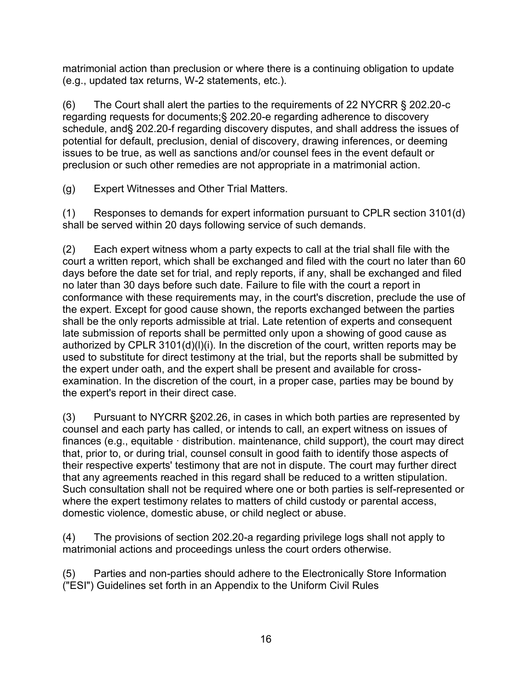matrimonial action than preclusion or where there is a continuing obligation to update (e.g., updated tax returns, W-2 statements, etc.).

(6) The Court shall alert the parties to the requirements of 22 NYCRR § 202.20-c regarding requests for documents;§ 202.20-e regarding adherence to discovery schedule, and§ 202.20-f regarding discovery disputes, and shall address the issues of potential for default, preclusion, denial of discovery, drawing inferences, or deeming issues to be true, as well as sanctions and/or counsel fees in the event default or preclusion or such other remedies are not appropriate in a matrimonial action.

(g) Expert Witnesses and Other Trial Matters.

(1) Responses to demands for expert information pursuant to CPLR section 3101(d) shall be served within 20 days following service of such demands.

(2) Each expert witness whom a party expects to call at the trial shall file with the court a written report, which shall be exchanged and filed with the court no later than 60 days before the date set for trial, and reply reports, if any, shall be exchanged and filed no later than 30 days before such date. Failure to file with the court a report in conformance with these requirements may, in the court's discretion, preclude the use of the expert. Except for good cause shown, the reports exchanged between the parties shall be the only reports admissible at trial. Late retention of experts and consequent late submission of reports shall be permitted only upon a showing of good cause as authorized by CPLR 3101(d)(l)(i). In the discretion of the court, written reports may be used to substitute for direct testimony at the trial, but the reports shall be submitted by the expert under oath, and the expert shall be present and available for crossexamination. In the discretion of the court, in a proper case, parties may be bound by the expert's report in their direct case.

(3) Pursuant to NYCRR §202.26, in cases in which both parties are represented by counsel and each party has called, or intends to call, an expert witness on issues of finances (e.g., equitable  $\cdot$  distribution. maintenance, child support), the court may direct that, prior to, or during trial, counsel consult in good faith to identify those aspects of their respective experts' testimony that are not in dispute. The court may further direct that any agreements reached in this regard shall be reduced to a written stipulation. Such consultation shall not be required where one or both parties is self-represented or where the expert testimony relates to matters of child custody or parental access, domestic violence, domestic abuse, or child neglect or abuse.

(4) The provisions of section 202.20-a regarding privilege logs shall not apply to matrimonial actions and proceedings unless the court orders otherwise.

(5) Parties and non-parties should adhere to the Electronically Store Information ("ESI") Guidelines set forth in an Appendix to the Uniform Civil Rules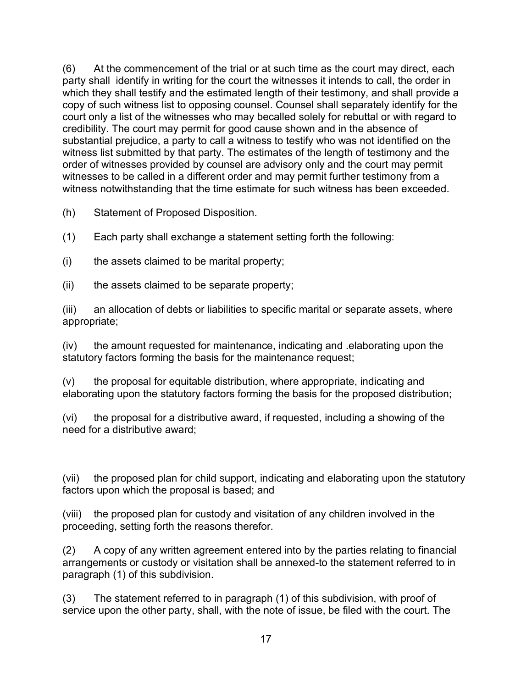(6) At the commencement of the trial or at such time as the court may direct, each party shall identify in writing for the court the witnesses it intends to call, the order in which they shall testify and the estimated length of their testimony, and shall provide a copy of such witness list to opposing counsel. Counsel shall separately identify for the court only a list of the witnesses who may becalled solely for rebuttal or with regard to credibility. The court may permit for good cause shown and in the absence of substantial prejudice, a party to call a witness to testify who was not identified on the witness list submitted by that party. The estimates of the length of testimony and the order of witnesses provided by counsel are advisory only and the court may permit witnesses to be called in a different order and may permit further testimony from a witness notwithstanding that the time estimate for such witness has been exceeded.

(h) Statement of Proposed Disposition.

(1) Each party shall exchange a statement setting forth the following:

 $(i)$  the assets claimed to be marital property;

(ii) the assets claimed to be separate property;

(iii) an allocation of debts or liabilities to specific marital or separate assets, where appropriate;

(iv) the amount requested for maintenance, indicating and .elaborating upon the statutory factors forming the basis for the maintenance request;

(v) the proposal for equitable distribution, where appropriate, indicating and elaborating upon the statutory factors forming the basis for the proposed distribution;

(vi) the proposal for a distributive award, if requested, including a showing of the need for a distributive award;

(vii) the proposed plan for child support, indicating and elaborating upon the statutory factors upon which the proposal is based; and

(viii) the proposed plan for custody and visitation of any children involved in the proceeding, setting forth the reasons therefor.

(2) A copy of any written agreement entered into by the parties relating to financial arrangements or custody or visitation shall be annexed-to the statement referred to in paragraph (1) of this subdivision.

(3) The statement referred to in paragraph (1) of this subdivision, with proof of service upon the other party, shall, with the note of issue, be filed with the court. The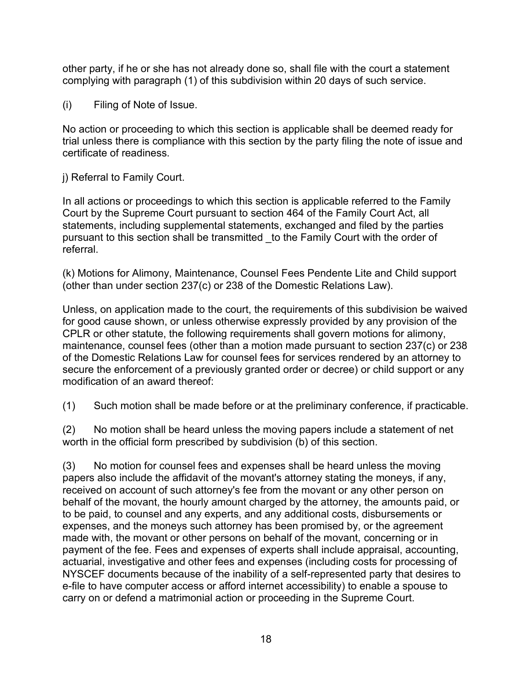other party, if he or she has not already done so, shall file with the court a statement complying with paragraph (1) of this subdivision within 20 days of such service.

(i) Filing of Note of Issue.

No action or proceeding to which this section is applicable shall be deemed ready for trial unless there is compliance with this section by the party filing the note of issue and certificate of readiness.

j) Referral to Family Court.

In all actions or proceedings to which this section is applicable referred to the Family Court by the Supreme Court pursuant to section 464 of the Family Court Act, all statements, including supplemental statements, exchanged and filed by the parties pursuant to this section shall be transmitted \_to the Family Court with the order of referral.

(k) Motions for Alimony, Maintenance, Counsel Fees Pendente Lite and Child support (other than under section 237(c) or 238 of the Domestic Relations Law).

Unless, on application made to the court, the requirements of this subdivision be waived for good cause shown, or unless otherwise expressly provided by any provision of the CPLR or other statute, the following requirements shall govern motions for alimony, maintenance, counsel fees (other than a motion made pursuant to section 237(c) or 238 of the Domestic Relations Law for counsel fees for services rendered by an attorney to secure the enforcement of a previously granted order or decree) or child support or any modification of an award thereof:

(1) Such motion shall be made before or at the preliminary conference, if practicable.

(2) No motion shall be heard unless the moving papers include a statement of net worth in the official form prescribed by subdivision (b) of this section.

(3) No motion for counsel fees and expenses shall be heard unless the moving papers also include the affidavit of the movant's attorney stating the moneys, if any, received on account of such attorney's fee from the movant or any other person on behalf of the movant, the hourly amount charged by the attorney, the amounts paid, or to be paid, to counsel and any experts, and any additional costs, disbursements or expenses, and the moneys such attorney has been promised by, or the agreement made with, the movant or other persons on behalf of the movant, concerning or in payment of the fee. Fees and expenses of experts shall include appraisal, accounting, actuarial, investigative and other fees and expenses (including costs for processing of NYSCEF documents because of the inability of a self-represented party that desires to e-file to have computer access or afford internet accessibility) to enable a spouse to carry on or defend a matrimonial action or proceeding in the Supreme Court.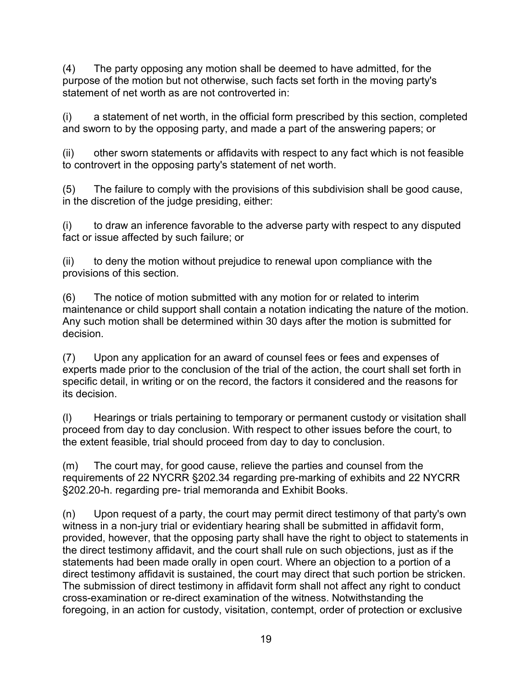(4) The party opposing any motion shall be deemed to have admitted, for the purpose of the motion but not otherwise, such facts set forth in the moving party's statement of net worth as are not controverted in:

(i) a statement of net worth, in the official form prescribed by this section, completed and sworn to by the opposing party, and made a part of the answering papers; or

(ii) other sworn statements or affidavits with respect to any fact which is not feasible to controvert in the opposing party's statement of net worth.

(5) The failure to comply with the provisions of this subdivision shall be good cause, in the discretion of the judge presiding, either:

(i) to draw an inference favorable to the adverse party with respect to any disputed fact or issue affected by such failure; or

(ii) to deny the motion without prejudice to renewal upon compliance with the provisions of this section.

(6) The notice of motion submitted with any motion for or related to interim maintenance or child support shall contain a notation indicating the nature of the motion. Any such motion shall be determined within 30 days after the motion is submitted for decision.

(7) Upon any application for an award of counsel fees or fees and expenses of experts made prior to the conclusion of the trial of the action, the court shall set forth in specific detail, in writing or on the record, the factors it considered and the reasons for its decision.

(l) Hearings or trials pertaining to temporary or permanent custody or visitation shall proceed from day to day conclusion. With respect to other issues before the court, to the extent feasible, trial should proceed from day to day to conclusion.

(m) The court may, for good cause, relieve the parties and counsel from the requirements of 22 NYCRR §202.34 regarding pre-marking of exhibits and 22 NYCRR §202.20-h. regarding pre- trial memoranda and Exhibit Books.

(n) Upon request of a party, the court may permit direct testimony of that party's own witness in a non-jury trial or evidentiary hearing shall be submitted in affidavit form, provided, however, that the opposing party shall have the right to object to statements in the direct testimony affidavit, and the court shall rule on such objections, just as if the statements had been made orally in open court. Where an objection to a portion of a direct testimony affidavit is sustained, the court may direct that such portion be stricken. The submission of direct testimony in affidavit form shall not affect any right to conduct cross-examination or re-direct examination of the witness. Notwithstanding the foregoing, in an action for custody, visitation, contempt, order of protection or exclusive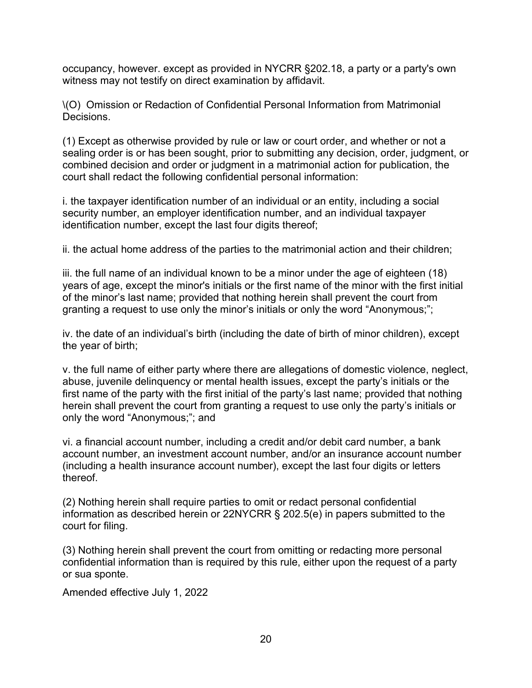occupancy, however. except as provided in NYCRR §202.18, a party or a party's own witness may not testify on direct examination by affidavit.

\(O) Omission or Redaction of Confidential Personal Information from Matrimonial Decisions.

(1) Except as otherwise provided by rule or law or court order, and whether or not a sealing order is or has been sought, prior to submitting any decision, order, judgment, or combined decision and order or judgment in a matrimonial action for publication, the court shall redact the following confidential personal information:

i. the taxpayer identification number of an individual or an entity, including a social security number, an employer identification number, and an individual taxpayer identification number, except the last four digits thereof;

ii. the actual home address of the parties to the matrimonial action and their children;

iii. the full name of an individual known to be a minor under the age of eighteen (18) years of age, except the minor's initials or the first name of the minor with the first initial of the minor's last name; provided that nothing herein shall prevent the court from granting a request to use only the minor's initials or only the word "Anonymous;";

iv. the date of an individual's birth (including the date of birth of minor children), except the year of birth;

v. the full name of either party where there are allegations of domestic violence, neglect, abuse, juvenile delinquency or mental health issues, except the party's initials or the first name of the party with the first initial of the party's last name; provided that nothing herein shall prevent the court from granting a request to use only the party's initials or only the word "Anonymous;"; and

vi. a financial account number, including a credit and/or debit card number, a bank account number, an investment account number, and/or an insurance account number (including a health insurance account number), except the last four digits or letters thereof.

(2) Nothing herein shall require parties to omit or redact personal confidential information as described herein or 22NYCRR § 202.5(e) in papers submitted to the court for filing.

(3) Nothing herein shall prevent the court from omitting or redacting more personal confidential information than is required by this rule, either upon the request of a party or sua sponte.

Amended effective July 1, 2022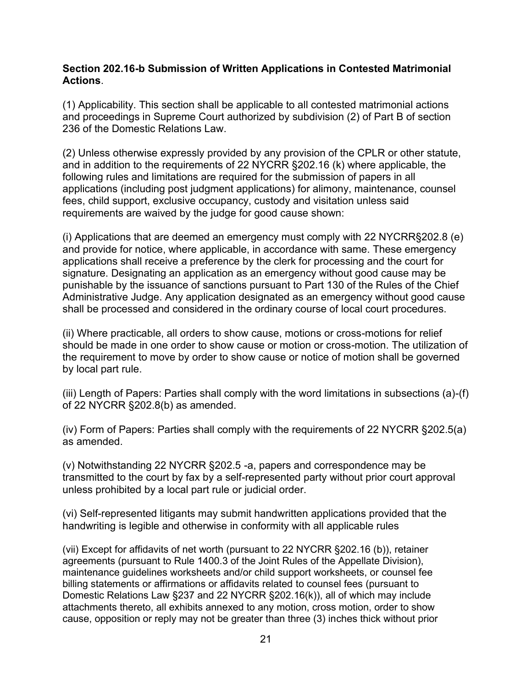#### <span id="page-20-0"></span>**Section 202.16-b Submission of Written Applications in Contested Matrimonial Actions**.

(1) Applicability. This section shall be applicable to all contested matrimonial actions and proceedings in Supreme Court authorized by subdivision (2) of Part B of section 236 of the Domestic Relations Law

(2) Unless otherwise expressly provided by any provision of the CPLR or other statute, and in addition to the requirements of 22 NYCRR §202.16 (k) where applicable, the following rules and limitations are required for the submission of papers in all applications (including post judgment applications) for alimony, maintenance, counsel fees, child support, exclusive occupancy, custody and visitation unless said requirements are waived by the judge for good cause shown:

(i) Applications that are deemed an emergency must comply with 22 NYCRR§202.8 (e) and provide for notice, where applicable, in accordance with same. These emergency applications shall receive a preference by the clerk for processing and the court for signature. Designating an application as an emergency without good cause may be punishable by the issuance of sanctions pursuant to Part 130 of the Rules of the Chief Administrative Judge. Any application designated as an emergency without good cause shall be processed and considered in the ordinary course of local court procedures.

(ii) Where practicable, all orders to show cause, motions or cross-motions for relief should be made in one order to show cause or motion or cross-motion. The utilization of the requirement to move by order to show cause or notice of motion shall be governed by local part rule.

(iii) Length of Papers: Parties shall comply with the word limitations in subsections (a)-(f) of 22 NYCRR §202.8(b) as amended.

(iv) Form of Papers: Parties shall comply with the requirements of 22 NYCRR §202.5(a) as amended.

(v) Notwithstanding 22 NYCRR §202.5 -a, papers and correspondence may be transmitted to the court by fax by a self-represented party without prior court approval unless prohibited by a local part rule or judicial order.

(vi) Self-represented litigants may submit handwritten applications provided that the handwriting is legible and otherwise in conformity with all applicable rules

(vii) Except for affidavits of net worth (pursuant to 22 NYCRR §202.16 (b)), retainer agreements (pursuant to Rule 1400.3 of the Joint Rules of the Appellate Division), maintenance guidelines worksheets and/or child support worksheets, or counsel fee billing statements or affirmations or affidavits related to counsel fees (pursuant to Domestic Relations Law §237 and 22 NYCRR §202.16(k)), all of which may include attachments thereto, all exhibits annexed to any motion, cross motion, order to show cause, opposition or reply may not be greater than three (3) inches thick without prior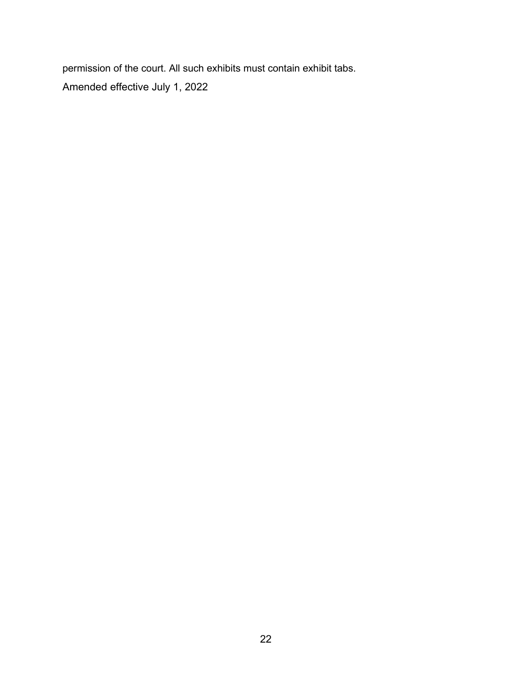permission of the court. All such exhibits must contain exhibit tabs. Amended effective July 1, 2022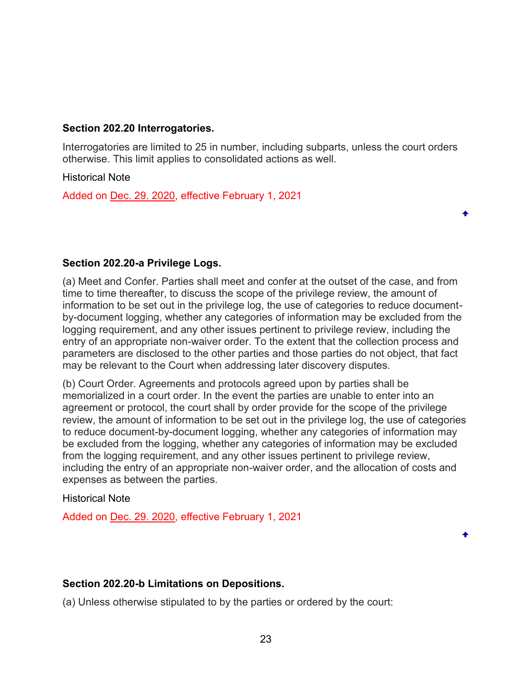#### <span id="page-22-0"></span>**Section 202.20 Interrogatories.**

Interrogatories are limited to 25 in number, including subparts, unless the court orders otherwise. This limit applies to consolidated actions as well.

Historical Note

Added on [Dec. 29. 2020,](https://www.nycourts.gov/LegacyPDFS/RULES/trialcourts/AO-270-20.pdf) effective February 1, 2021

<span id="page-22-1"></span>**Section 202.20-a Privilege Logs.**

(a) Meet and Confer. Parties shall meet and confer at the outset of the case, and from time to time thereafter, to discuss the scope of the privilege review, the amount of information to be set out in the privilege log, the use of categories to reduce documentby-document logging, whether any categories of information may be excluded from the logging requirement, and any other issues pertinent to privilege review, including the entry of an appropriate non-waiver order. To the extent that the collection process and parameters are disclosed to the other parties and those parties do not object, that fact may be relevant to the Court when addressing later discovery disputes.

(b) Court Order. Agreements and protocols agreed upon by parties shall be memorialized in a court order. In the event the parties are unable to enter into an agreement or protocol, the court shall by order provide for the scope of the privilege review, the amount of information to be set out in the privilege log, the use of categories to reduce document-by-document logging, whether any categories of information may be excluded from the logging, whether any categories of information may be excluded from the logging requirement, and any other issues pertinent to privilege review, including the entry of an appropriate non-waiver order, and the allocation of costs and expenses as between the parties.

Historical Note

Added on [Dec. 29. 2020,](https://www.nycourts.gov/LegacyPDFS/RULES/trialcourts/AO-270-20.pdf) effective February 1, 2021

### <span id="page-22-2"></span>**Section 202.20-b Limitations on Depositions.**

(a) Unless otherwise stipulated to by the parties or ordered by the court: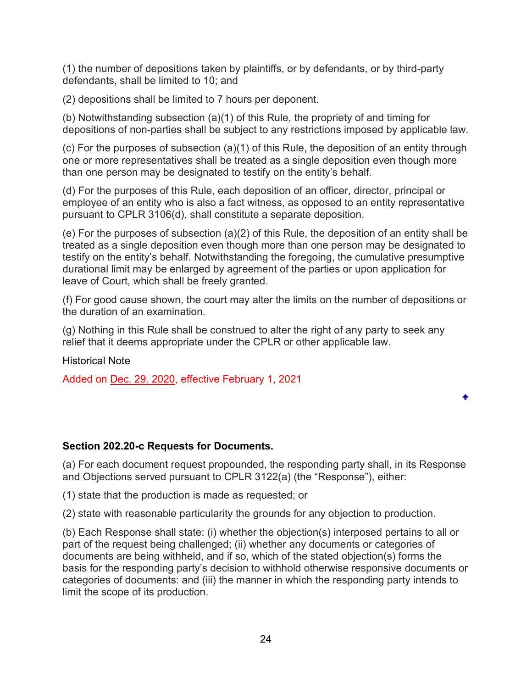(1) the number of depositions taken by plaintiffs, or by defendants, or by third-party defendants, shall be limited to 10; and

(2) depositions shall be limited to 7 hours per deponent.

(b) Notwithstanding subsection (a)(1) of this Rule, the propriety of and timing for depositions of non-parties shall be subject to any restrictions imposed by applicable law.

(c) For the purposes of subsection (a)(1) of this Rule, the deposition of an entity through one or more representatives shall be treated as a single deposition even though more than one person may be designated to testify on the entity's behalf.

(d) For the purposes of this Rule, each deposition of an officer, director, principal or employee of an entity who is also a fact witness, as opposed to an entity representative pursuant to CPLR 3106(d), shall constitute a separate deposition.

(e) For the purposes of subsection (a)(2) of this Rule, the deposition of an entity shall be treated as a single deposition even though more than one person may be designated to testify on the entity's behalf. Notwithstanding the foregoing, the cumulative presumptive durational limit may be enlarged by agreement of the parties or upon application for leave of Court, which shall be freely granted.

(f) For good cause shown, the court may alter the limits on the number of depositions or the duration of an examination.

(g) Nothing in this Rule shall be construed to alter the right of any party to seek any relief that it deems appropriate under the CPLR or other applicable law.

Historical Note

Added on [Dec. 29. 2020,](https://www.nycourts.gov/LegacyPDFS/RULES/trialcourts/AO-270-20.pdf) effective February 1, 2021

### <span id="page-23-0"></span>**Section 202.20-c Requests for Documents.**

(a) For each document request propounded, the responding party shall, in its Response and Objections served pursuant to CPLR 3122(a) (the "Response"), either:

(1) state that the production is made as requested; or

(2) state with reasonable particularity the grounds for any objection to production.

(b) Each Response shall state: (i) whether the objection(s) interposed pertains to all or part of the request being challenged; (ii) whether any documents or categories of documents are being withheld, and if so, which of the stated objection(s) forms the basis for the responding party's decision to withhold otherwise responsive documents or categories of documents: and (iii) the manner in which the responding party intends to limit the scope of its production.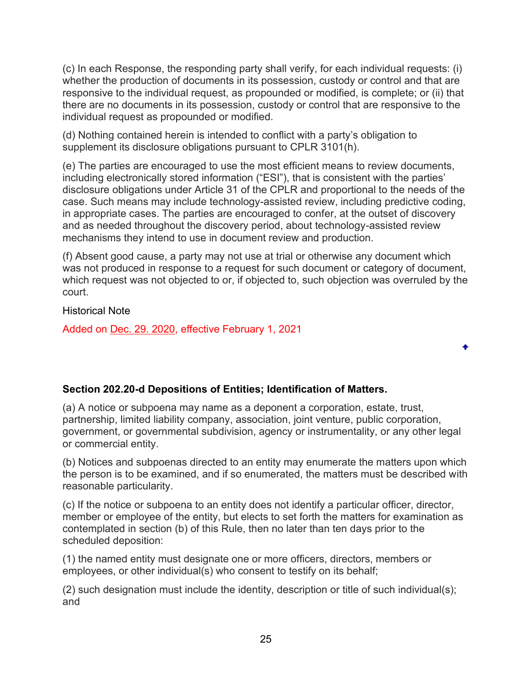(c) In each Response, the responding party shall verify, for each individual requests: (i) whether the production of documents in its possession, custody or control and that are responsive to the individual request, as propounded or modified, is complete; or (ii) that there are no documents in its possession, custody or control that are responsive to the individual request as propounded or modified.

(d) Nothing contained herein is intended to conflict with a party's obligation to supplement its disclosure obligations pursuant to CPLR 3101(h).

(e) The parties are encouraged to use the most efficient means to review documents, including electronically stored information ("ESI"), that is consistent with the parties' disclosure obligations under Article 31 of the CPLR and proportional to the needs of the case. Such means may include technology-assisted review, including predictive coding, in appropriate cases. The parties are encouraged to confer, at the outset of discovery and as needed throughout the discovery period, about technology-assisted review mechanisms they intend to use in document review and production.

(f) Absent good cause, a party may not use at trial or otherwise any document which was not produced in response to a request for such document or category of document, which request was not objected to or, if objected to, such objection was overruled by the court.

٠

Historical Note

Added on [Dec. 29. 2020,](https://www.nycourts.gov/LegacyPDFS/RULES/trialcourts/AO-270-20.pdf) effective February 1, 2021

# <span id="page-24-0"></span>**Section 202.20-d Depositions of Entities; Identification of Matters.**

(a) A notice or subpoena may name as a deponent a corporation, estate, trust, partnership, limited liability company, association, joint venture, public corporation, government, or governmental subdivision, agency or instrumentality, or any other legal or commercial entity.

(b) Notices and subpoenas directed to an entity may enumerate the matters upon which the person is to be examined, and if so enumerated, the matters must be described with reasonable particularity.

(c) If the notice or subpoena to an entity does not identify a particular officer, director, member or employee of the entity, but elects to set forth the matters for examination as contemplated in section (b) of this Rule, then no later than ten days prior to the scheduled deposition:

(1) the named entity must designate one or more officers, directors, members or employees, or other individual(s) who consent to testify on its behalf;

(2) such designation must include the identity, description or title of such individual(s); and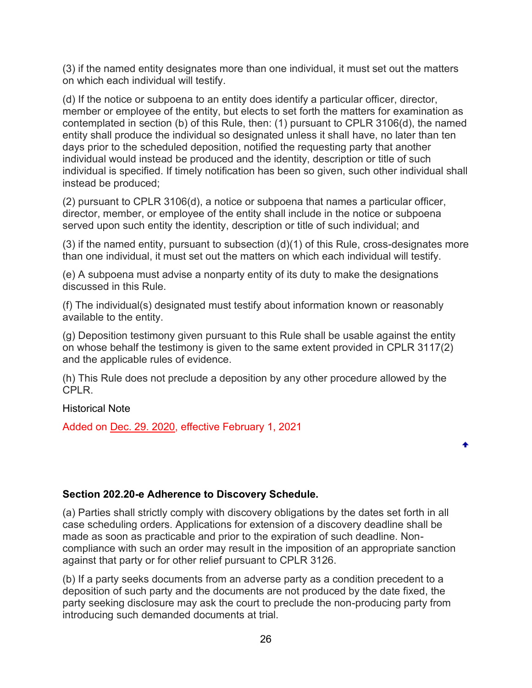(3) if the named entity designates more than one individual, it must set out the matters on which each individual will testify.

(d) If the notice or subpoena to an entity does identify a particular officer, director, member or employee of the entity, but elects to set forth the matters for examination as contemplated in section (b) of this Rule, then: (1) pursuant to CPLR 3106(d), the named entity shall produce the individual so designated unless it shall have, no later than ten days prior to the scheduled deposition, notified the requesting party that another individual would instead be produced and the identity, description or title of such individual is specified. If timely notification has been so given, such other individual shall instead be produced;

(2) pursuant to CPLR 3106(d), a notice or subpoena that names a particular officer, director, member, or employee of the entity shall include in the notice or subpoena served upon such entity the identity, description or title of such individual; and

(3) if the named entity, pursuant to subsection (d)(1) of this Rule, cross-designates more than one individual, it must set out the matters on which each individual will testify.

(e) A subpoena must advise a nonparty entity of its duty to make the designations discussed in this Rule.

(f) The individual(s) designated must testify about information known or reasonably available to the entity.

(g) Deposition testimony given pursuant to this Rule shall be usable against the entity on whose behalf the testimony is given to the same extent provided in CPLR 3117(2) and the applicable rules of evidence.

(h) This Rule does not preclude a deposition by any other procedure allowed by the CPLR.

Historical Note

Added on [Dec. 29. 2020,](https://www.nycourts.gov/LegacyPDFS/RULES/trialcourts/AO-270-20.pdf) effective February 1, 2021

# <span id="page-25-0"></span>**Section 202.20-e Adherence to Discovery Schedule.**

(a) Parties shall strictly comply with discovery obligations by the dates set forth in all case scheduling orders. Applications for extension of a discovery deadline shall be made as soon as practicable and prior to the expiration of such deadline. Noncompliance with such an order may result in the imposition of an appropriate sanction against that party or for other relief pursuant to CPLR 3126.

(b) If a party seeks documents from an adverse party as a condition precedent to a deposition of such party and the documents are not produced by the date fixed, the party seeking disclosure may ask the court to preclude the non-producing party from introducing such demanded documents at trial.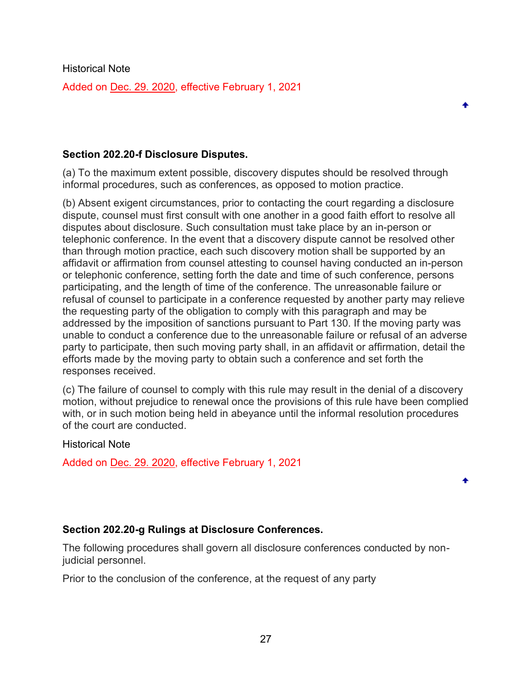Historical Note Added on [Dec. 29. 2020,](https://www.nycourts.gov/LegacyPDFS/RULES/trialcourts/AO-270-20.pdf) effective February 1, 2021

#### <span id="page-26-0"></span>**Section 202.20-f Disclosure Disputes.**

(a) To the maximum extent possible, discovery disputes should be resolved through informal procedures, such as conferences, as opposed to motion practice.

(b) Absent exigent circumstances, prior to contacting the court regarding a disclosure dispute, counsel must first consult with one another in a good faith effort to resolve all disputes about disclosure. Such consultation must take place by an in-person or telephonic conference. In the event that a discovery dispute cannot be resolved other than through motion practice, each such discovery motion shall be supported by an affidavit or affirmation from counsel attesting to counsel having conducted an in-person or telephonic conference, setting forth the date and time of such conference, persons participating, and the length of time of the conference. The unreasonable failure or refusal of counsel to participate in a conference requested by another party may relieve the requesting party of the obligation to comply with this paragraph and may be addressed by the imposition of sanctions pursuant to Part 130. If the moving party was unable to conduct a conference due to the unreasonable failure or refusal of an adverse party to participate, then such moving party shall, in an affidavit or affirmation, detail the efforts made by the moving party to obtain such a conference and set forth the responses received.

(c) The failure of counsel to comply with this rule may result in the denial of a discovery motion, without prejudice to renewal once the provisions of this rule have been complied with, or in such motion being held in abeyance until the informal resolution procedures of the court are conducted.

Historical Note

Added on [Dec. 29. 2020,](https://www.nycourts.gov/LegacyPDFS/RULES/trialcourts/AO-270-20.pdf) effective February 1, 2021

### <span id="page-26-1"></span>**Section 202.20-g Rulings at Disclosure Conferences.**

The following procedures shall govern all disclosure conferences conducted by nonjudicial personnel.

Prior to the conclusion of the conference, at the request of any party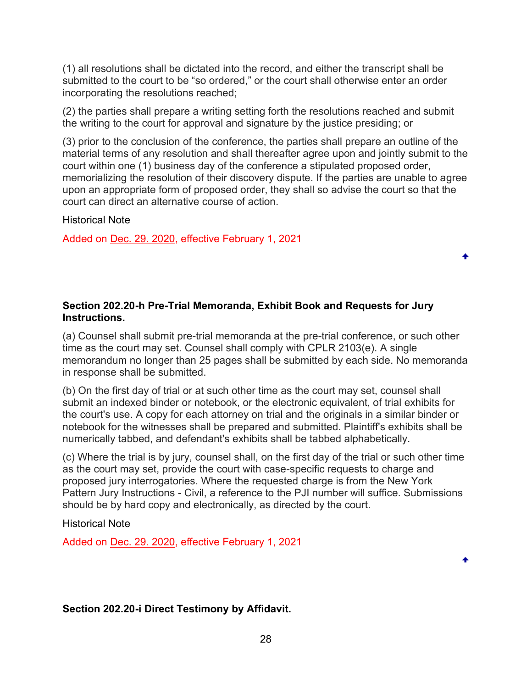(1) all resolutions shall be dictated into the record, and either the transcript shall be submitted to the court to be "so ordered," or the court shall otherwise enter an order incorporating the resolutions reached;

(2) the parties shall prepare a writing setting forth the resolutions reached and submit the writing to the court for approval and signature by the justice presiding; or

(3) prior to the conclusion of the conference, the parties shall prepare an outline of the material terms of any resolution and shall thereafter agree upon and jointly submit to the court within one (1) business day of the conference a stipulated proposed order, memorializing the resolution of their discovery dispute. If the parties are unable to agree upon an appropriate form of proposed order, they shall so advise the court so that the court can direct an alternative course of action.

٠

٠

Historical Note

Added on [Dec. 29. 2020,](https://www.nycourts.gov/LegacyPDFS/RULES/trialcourts/AO-270-20.pdf) effective February 1, 2021

## <span id="page-27-0"></span>**Section 202.20-h Pre-Trial Memoranda, Exhibit Book and Requests for Jury Instructions.**

(a) Counsel shall submit pre-trial memoranda at the pre-trial conference, or such other time as the court may set. Counsel shall comply with CPLR 2103(e). A single memorandum no longer than 25 pages shall be submitted by each side. No memoranda in response shall be submitted.

(b) On the first day of trial or at such other time as the court may set, counsel shall submit an indexed binder or notebook, or the electronic equivalent, of trial exhibits for the court's use. A copy for each attorney on trial and the originals in a similar binder or notebook for the witnesses shall be prepared and submitted. Plaintiff's exhibits shall be numerically tabbed, and defendant's exhibits shall be tabbed alphabetically.

(c) Where the trial is by jury, counsel shall, on the first day of the trial or such other time as the court may set, provide the court with case-specific requests to charge and proposed jury interrogatories. Where the requested charge is from the New York Pattern Jury Instructions - Civil, a reference to the PJI number will suffice. Submissions should be by hard copy and electronically, as directed by the court.

Historical Note

Added on [Dec. 29. 2020,](https://www.nycourts.gov/LegacyPDFS/RULES/trialcourts/AO-270-20.pdf) effective February 1, 2021

# <span id="page-27-1"></span>**Section 202.20-i Direct Testimony by Affidavit.**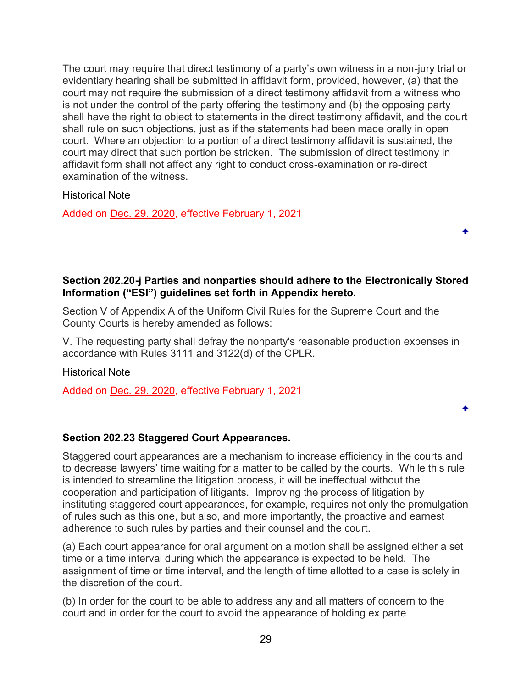The court may require that direct testimony of a party's own witness in a non-jury trial or evidentiary hearing shall be submitted in affidavit form, provided, however, (a) that the court may not require the submission of a direct testimony affidavit from a witness who is not under the control of the party offering the testimony and (b) the opposing party shall have the right to object to statements in the direct testimony affidavit, and the court shall rule on such objections, just as if the statements had been made orally in open court. Where an objection to a portion of a direct testimony affidavit is sustained, the court may direct that such portion be stricken. The submission of direct testimony in affidavit form shall not affect any right to conduct cross-examination or re-direct examination of the witness.

Historical Note

Added on [Dec. 29. 2020,](https://www.nycourts.gov/LegacyPDFS/RULES/trialcourts/AO-270-20.pdf) effective February 1, 2021

# <span id="page-28-0"></span>**Section 202.20-j Parties and nonparties should adhere to the Electronically Stored Information ("ESI") guidelines set forth in Appendix hereto.**

٠

Section V of Appendix A of the Uniform Civil Rules for the Supreme Court and the County Courts is hereby amended as follows:

V. The requesting party shall defray the nonparty's reasonable production expenses in accordance with Rules 3111 and 3122(d) of the CPLR.

Historical Note

Added on [Dec. 29. 2020,](https://www.nycourts.gov/LegacyPDFS/RULES/trialcourts/AO-270-20.pdf) effective February 1, 2021

# <span id="page-28-1"></span>**Section 202.23 Staggered Court Appearances.**

Staggered court appearances are a mechanism to increase efficiency in the courts and to decrease lawyers' time waiting for a matter to be called by the courts. While this rule is intended to streamline the litigation process, it will be ineffectual without the cooperation and participation of litigants. Improving the process of litigation by instituting staggered court appearances, for example, requires not only the promulgation of rules such as this one, but also, and more importantly, the proactive and earnest adherence to such rules by parties and their counsel and the court.

(a) Each court appearance for oral argument on a motion shall be assigned either a set time or a time interval during which the appearance is expected to be held. The assignment of time or time interval, and the length of time allotted to a case is solely in the discretion of the court.

(b) In order for the court to be able to address any and all matters of concern to the court and in order for the court to avoid the appearance of holding ex parte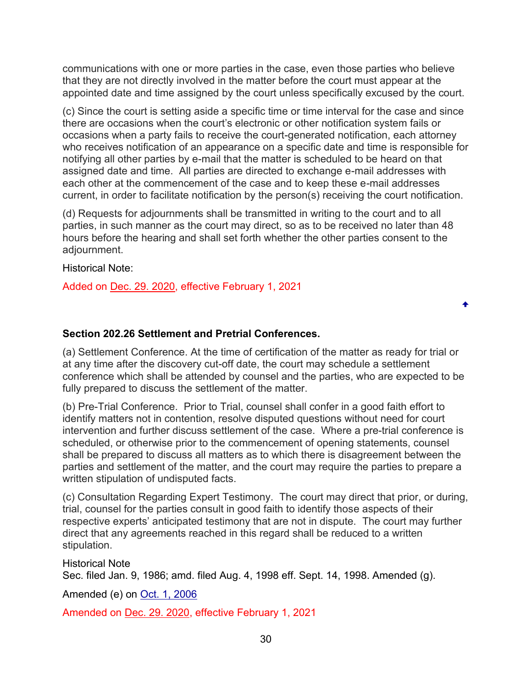communications with one or more parties in the case, even those parties who believe that they are not directly involved in the matter before the court must appear at the appointed date and time assigned by the court unless specifically excused by the court.

(c) Since the court is setting aside a specific time or time interval for the case and since there are occasions when the court's electronic or other notification system fails or occasions when a party fails to receive the court-generated notification, each attorney who receives notification of an appearance on a specific date and time is responsible for notifying all other parties by e-mail that the matter is scheduled to be heard on that assigned date and time. All parties are directed to exchange e-mail addresses with each other at the commencement of the case and to keep these e-mail addresses current, in order to facilitate notification by the person(s) receiving the court notification.

(d) Requests for adjournments shall be transmitted in writing to the court and to all parties, in such manner as the court may direct, so as to be received no later than 48 hours before the hearing and shall set forth whether the other parties consent to the adjournment.

Historical Note:

Added on [Dec. 29. 2020,](https://www.nycourts.gov/LegacyPDFS/RULES/trialcourts/AO-270-20.pdf) effective February 1, 2021

### <span id="page-29-0"></span>**Section 202.26 Settlement and Pretrial Conferences.**

(a) Settlement Conference. At the time of certification of the matter as ready for trial or at any time after the discovery cut-off date, the court may schedule a settlement conference which shall be attended by counsel and the parties, who are expected to be fully prepared to discuss the settlement of the matter.

٠

(b) Pre-Trial Conference. Prior to Trial, counsel shall confer in a good faith effort to identify matters not in contention, resolve disputed questions without need for court intervention and further discuss settlement of the case. Where a pre-trial conference is scheduled, or otherwise prior to the commencement of opening statements, counsel shall be prepared to discuss all matters as to which there is disagreement between the parties and settlement of the matter, and the court may require the parties to prepare a written stipulation of undisputed facts.

(c) Consultation Regarding Expert Testimony. The court may direct that prior, or during, trial, counsel for the parties consult in good faith to identify those aspects of their respective experts' anticipated testimony that are not in dispute. The court may further direct that any agreements reached in this regard shall be reduced to a written stipulation.

Historical Note Sec. filed Jan. 9, 1986; amd. filed Aug. 4, 1998 eff. Sept. 14, 1998. Amended (g).

Amended (e) on [Oct. 1, 2006](https://www.nycourts.gov/LegacyPDFS/RULES/trialcourts/202-26_amend.pdf)

Amended on [Dec. 29. 2020,](https://www.nycourts.gov/LegacyPDFS/RULES/trialcourts/AO-270-20.pdf) effective February 1, 2021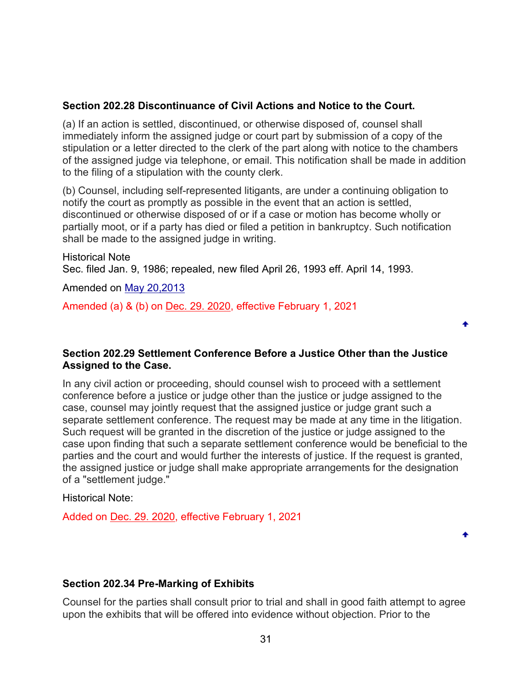## <span id="page-30-0"></span>**Section 202.28 Discontinuance of Civil Actions and Notice to the Court.**

(a) If an action is settled, discontinued, or otherwise disposed of, counsel shall immediately inform the assigned judge or court part by submission of a copy of the stipulation or a letter directed to the clerk of the part along with notice to the chambers of the assigned judge via telephone, or email. This notification shall be made in addition to the filing of a stipulation with the county clerk.

(b) Counsel, including self-represented litigants, are under a continuing obligation to notify the court as promptly as possible in the event that an action is settled, discontinued or otherwise disposed of or if a case or motion has become wholly or partially moot, or if a party has died or filed a petition in bankruptcy. Such notification shall be made to the assigned judge in writing.

Historical Note Sec. filed Jan. 9, 1986; repealed, new filed April 26, 1993 eff. April 14, 1993.

Amended on [May 20,2013](https://www.nycourts.gov/LegacyPDFS/RULES/trialcourts/202-28_amend.pdf)

Amended (a) & (b) on [Dec. 29. 2020,](https://www.nycourts.gov/LegacyPDFS/RULES/trialcourts/AO-270-20.pdf) effective February 1, 2021

### <span id="page-30-1"></span>**Section 202.29 Settlement Conference Before a Justice Other than the Justice Assigned to the Case.**

▲

In any civil action or proceeding, should counsel wish to proceed with a settlement conference before a justice or judge other than the justice or judge assigned to the case, counsel may jointly request that the assigned justice or judge grant such a separate settlement conference. The request may be made at any time in the litigation. Such request will be granted in the discretion of the justice or judge assigned to the case upon finding that such a separate settlement conference would be beneficial to the parties and the court and would further the interests of justice. If the request is granted, the assigned justice or judge shall make appropriate arrangements for the designation of a "settlement judge."

Historical Note:

Added on [Dec. 29. 2020,](https://www.nycourts.gov/LegacyPDFS/RULES/trialcourts/AO-270-20.pdf) effective February 1, 2021

### <span id="page-30-2"></span>**Section 202.34 Pre-Marking of Exhibits**

Counsel for the parties shall consult prior to trial and shall in good faith attempt to agree upon the exhibits that will be offered into evidence without objection. Prior to the